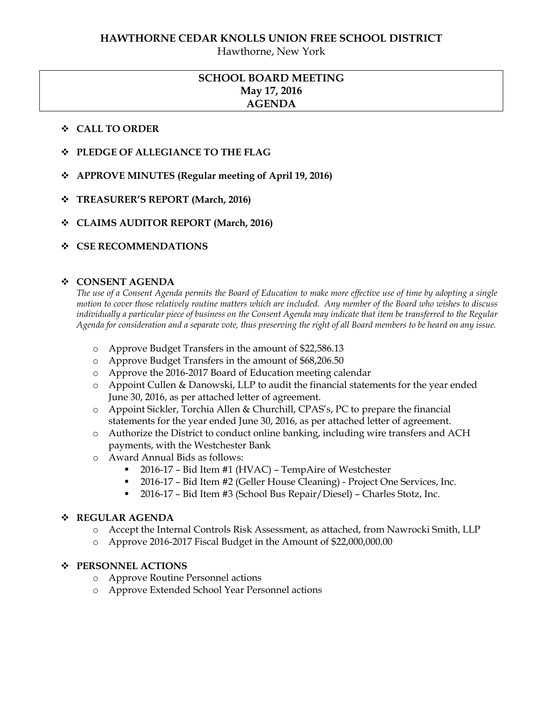Hawthorne, New York

## **SCHOOL BOARD MEETING May 17, 2016 AGENDA**

#### **CALL TO ORDER**

- **PLEDGE OF ALLEGIANCE TO THE FLAG**
- **APPROVE MINUTES (Regular meeting of April 19, 2016)**
- **TREASURER'S REPORT (March, 2016)**
- **CLAIMS AUDITOR REPORT (March, 2016)**
- **CSE RECOMMENDATIONS**

#### **CONSENT AGENDA**

*The use of a Consent Agenda permits the Board of Education to make more effective use of time by adopting a single motion to cover those relatively routine matters which are included. Any member of the Board who wishes to discuss individually a particular piece of business on the Consent Agenda may indicate that item be transferred to the Regular Agenda for consideration and a separate vote, thus preserving the right of all Board members to be heard on any issue.* 

- o Approve Budget Transfers in the amount of \$22,586.13
- o Approve Budget Transfers in the amount of \$68,206.50
- o Approve the 2016-2017 Board of Education meeting calendar
- o Appoint Cullen & Danowski, LLP to audit the financial statements for the year ended June 30, 2016, as per attached letter of agreement.
- o Appoint Sickler, Torchia Allen & Churchill, CPAS's, PC to prepare the financial statements for the year ended June 30, 2016, as per attached letter of agreement.
- o Authorize the District to conduct online banking, including wire transfers and ACH payments, with the Westchester Bank
- o Award Annual Bids as follows:
	- 2016-17 Bid Item #1 (HVAC) TempAire of Westchester
	- 2016-17 Bid Item #2 (Geller House Cleaning) Project One Services, Inc.
	- 2016-17 Bid Item #3 (School Bus Repair/Diesel) Charles Stotz, Inc.

#### **REGULAR AGENDA**

- o Accept the Internal Controls Risk Assessment, as attached, from Nawrocki Smith, LLP
- o Approve 2016-2017 Fiscal Budget in the Amount of \$22,000,000.00

#### **PERSONNEL ACTIONS**

- o Approve Routine Personnel actions
- o Approve Extended School Year Personnel actions